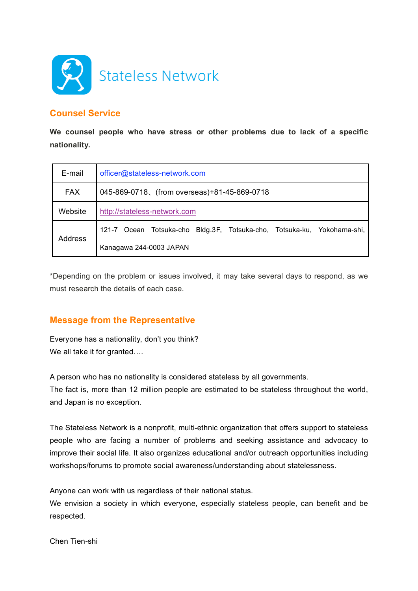

## **Counsel Service**

**We counsel people who have stress or other problems due to lack of a specific nationality.**

| E-mail         | officer@stateless-network.com                                           |
|----------------|-------------------------------------------------------------------------|
| <b>FAX</b>     | 045-869-0718, (from overseas)+81-45-869-0718                            |
| Website        | http://stateless-network.com                                            |
| <b>Address</b> | 121-7 Ocean Totsuka-cho Bldg.3F, Totsuka-cho, Totsuka-ku, Yokohama-shi, |
|                | Kanagawa 244-0003 JAPAN                                                 |

\*Depending on the problem or issues involved, it may take several days to respond, as we must research the details of each case.

## **Message from the Representative**

Everyone has a nationality, don't you think? We all take it for granted....

A person who has no nationality is considered stateless by all governments.

The fact is, more than 12 million people are estimated to be stateless throughout the world, and Japan is no exception.

The Stateless Network is a nonprofit, multi-ethnic organization that offers support to stateless people who are facing a number of problems and seeking assistance and advocacy to improve their social life. It also organizes educational and/or outreach opportunities including workshops/forums to promote social awareness/understanding about statelessness.

Anyone can work with us regardless of their national status.

We envision a society in which everyone, especially stateless people, can benefit and be respected.

Chen Tien-shi